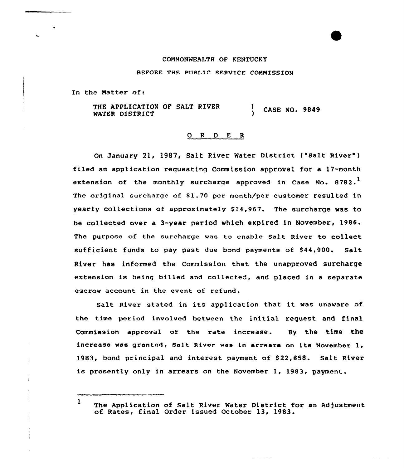## COMNONWEALTH OF KENTUCKY

BEFORE THE PUBLIC SERVICE COMMISSION

In the Matter of:

÷

THE APPLICATION OF SALT RIVER WATER DISTRICT CASE NO. 9849

## 0 R <sup>D</sup> E R

On January 21, 1987, Salt River Water District ("salt River" ) filed an application requesting Commission approval for a 17-month extension of the monthly surcharge approved in Case No.  $8782.^1$ The original surcharge of \$1.70 per month/per customer resulted in yearly collections of approximately 814,967. The surcharge was to be collected over a 3-year period which expired in November, 1986. The purpose of the surcharge was to enable Salt River to collect sufficient funds to pay past due bond payments of \$44,900. Salt River has informed the Commission that the unapproved surcharge extension is being billed and collected, and placed in <sup>a</sup> separate escrow account in the event of refund.

Salt River stated in its application that it was unaware of the time period involved between the initial request and final Commission approval of the rate increase. By the time the increase was granted, Salt River was in arrears on its November 1, 1983, bond principal and interest payment of \$22,858. Salt River is presently only in arrears on the November 1, 1983, payment.

and a series and

<sup>1</sup> The Application of Salt River Water District for an Adjustment of Rates, final Order issued October 13, 1983.